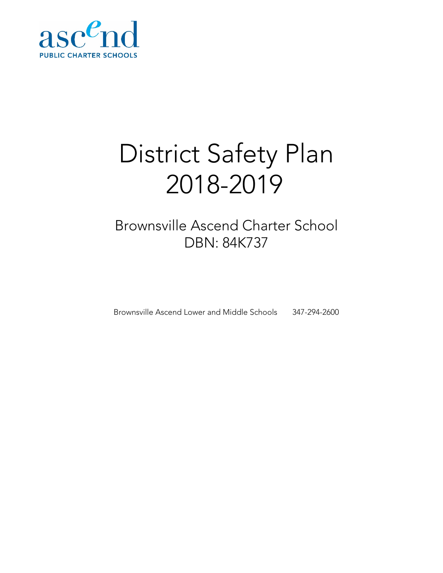

# District Safety Plan 2018-2019

# Brownsville Ascend Charter School DBN: 84K737

Brownsville Ascend Lower and Middle Schools 347-294-2600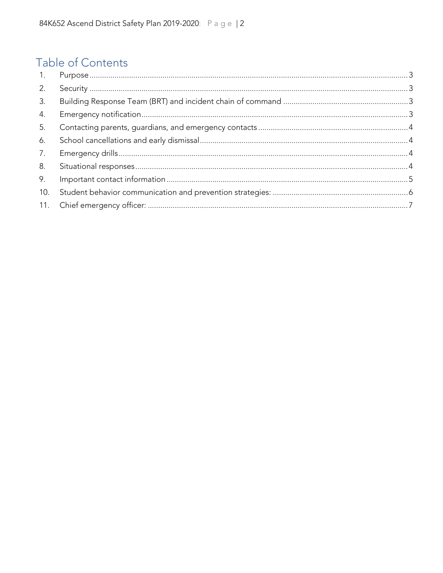## Table of Contents

| 2.  |  |
|-----|--|
| 3.  |  |
| 4.  |  |
| 5.  |  |
| 6.  |  |
| 7.  |  |
| 8.  |  |
| 9.  |  |
| 10. |  |
| 11. |  |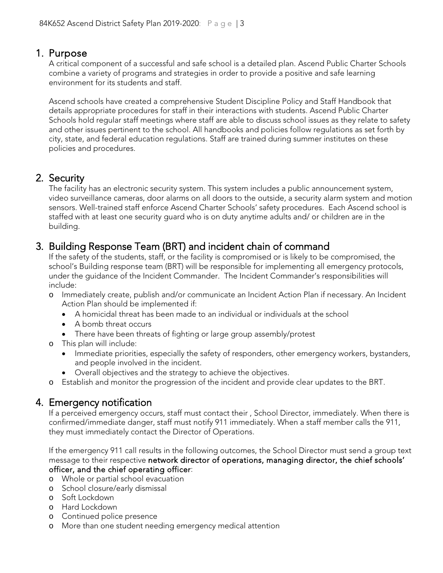<span id="page-2-0"></span>1. Purpose<br>A critical component of a successful and safe school is a detailed plan. Ascend Public Charter Schools combine a variety of programs and strategies in order to provide a positive and safe learning environment for its students and staff.

Ascend schools have created a comprehensive Student Discipline Policy and Staff Handbook that details appropriate procedures for staff in their interactions with students. Ascend Public Charter Schools hold regular staff meetings where staff are able to discuss school issues as they relate to safety and other issues pertinent to the school. All handbooks and policies follow regulations as set forth by city, state, and federal education regulations. Staff are trained during summer institutes on these policies and procedures.

<span id="page-2-1"></span>2. Security<br>The facility has an electronic security system. This system includes a public announcement system, video surveillance cameras, door alarms on all doors to the outside, a security alarm system and motion sensors. Well-trained staff enforce Ascend Charter Schools' safety procedures. Each Ascend school is staffed with at least one security guard who is on duty anytime adults and/ or children are in the building.

# <span id="page-2-2"></span>3. Building Response Team (BRT) and incident chain of command<br>If the safety of the students, staff, or the facility is compromised or is likely to be compromised, the

school's Building response team (BRT) will be responsible for implementing all emergency protocols, under the guidance of the Incident Commander. The Incident Commander's responsibilities will include:

- o Immediately create, publish and/or communicate an Incident Action Plan if necessary. An Incident Action Plan should be implemented if:
	- A homicidal threat has been made to an individual or individuals at the school
	- A bomb threat occurs
	- There have been threats of fighting or large group assembly/protest

o This plan will include:

- Immediate priorities, especially the safety of responders, other emergency workers, bystanders, and people involved in the incident.
- Overall objectives and the strategy to achieve the objectives.
- o Establish and monitor the progression of the incident and provide clear updates to the BRT.

### <span id="page-2-3"></span>4. Emergency notification

If a perceived emergency occurs, staff must contact their , School Director, immediately. When there is confirmed/immediate danger, staff must notify 911 immediately. When a staff member calls the 911, they must immediately contact the Director of Operations.

If the emergency 911 call results in the following outcomes, the School Director must send a group text message to their respective network director of operations, managing director, the chief schools' officer, and the chief operating officer:

- o Whole or partial school evacuation
- o School closure/early dismissal
- o Soft Lockdown
- o Hard Lockdown
- o Continued police presence
- o More than one student needing emergency medical attention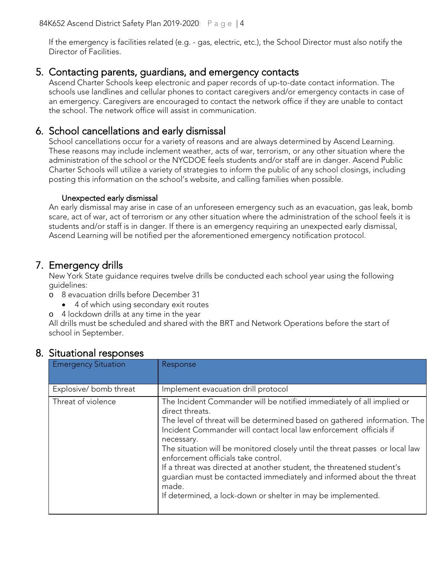If the emergency is facilities related (e.g. - gas, electric, etc.), the School Director must also notify the Director of Facilities.

#### <span id="page-3-0"></span>5. Contacting parents, guardians, and emergency contacts

Ascend Charter Schools keep electronic and paper records of up-to-date contact information. The schools use landlines and cellular phones to contact caregivers and/or emergency contacts in case of an emergency. Caregivers are encouraged to contact the network office if they are unable to contact the school. The network office will assist in communication.

#### <span id="page-3-1"></span>6. School cancellations and early dismissal

School cancellations occur for a variety of reasons and are always determined by Ascend Learning. These reasons may include inclement weather, acts of war, terrorism, or any other situation where the administration of the school or the NYCDOE feels students and/or staff are in danger. Ascend Public Charter Schools will utilize a variety of strategies to inform the public of any school closings, including posting this information on the school's website, and calling families when possible.

#### Unexpected early dismissal

An early dismissal may arise in case of an unforeseen emergency such as an evacuation, gas leak, bomb scare, act of war, act of terrorism or any other situation where the administration of the school feels it is students and/or staff is in danger. If there is an emergency requiring an unexpected early dismissal, Ascend Learning will be notified per the aforementioned emergency notification protocol.

<span id="page-3-2"></span>7. Emergency drills<br>New York State guidance requires twelve drills be conducted each school year using the following guidelines:

- o 8 evacuation drills before December 31
	- 4 of which using secondary exit routes
- o 4 lockdown drills at any time in the year

All drills must be scheduled and shared with the BRT and Network Operations before the start of school in September.

| <b>Emergency Situation</b> | Response                                                                                                                                                                                                                                                                                                                                                                                                                                                                                                                                                                                                   |
|----------------------------|------------------------------------------------------------------------------------------------------------------------------------------------------------------------------------------------------------------------------------------------------------------------------------------------------------------------------------------------------------------------------------------------------------------------------------------------------------------------------------------------------------------------------------------------------------------------------------------------------------|
| Explosive/bomb threat      | Implement evacuation drill protocol                                                                                                                                                                                                                                                                                                                                                                                                                                                                                                                                                                        |
| Threat of violence         | The Incident Commander will be notified immediately of all implied or<br>direct threats.<br>The level of threat will be determined based on gathered information. The<br>Incident Commander will contact local law enforcement officials if<br>necessary.<br>The situation will be monitored closely until the threat passes or local law<br>enforcement officials take control.<br>If a threat was directed at another student, the threatened student's<br>guardian must be contacted immediately and informed about the threat<br>made.<br>If determined, a lock-down or shelter in may be implemented. |

#### <span id="page-3-3"></span>8. Situational responses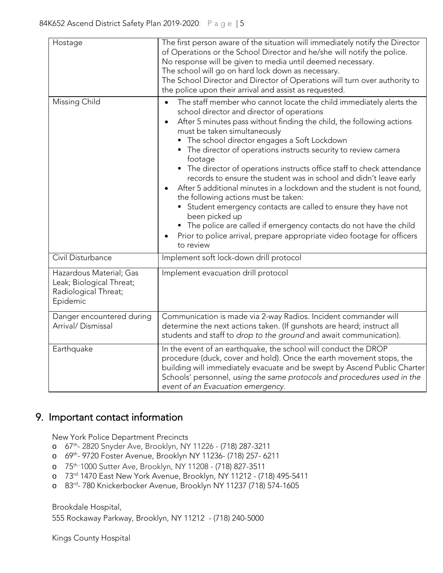| Hostage<br>Missing Child                                                                | The first person aware of the situation will immediately notify the Director<br>of Operations or the School Director and he/she will notify the police.<br>No response will be given to media until deemed necessary.<br>The school will go on hard lock down as necessary.<br>The School Director and Director of Operations will turn over authority to<br>the police upon their arrival and assist as requested.<br>The staff member who cannot locate the child immediately alerts the<br>$\bullet$                                                                                                                                                                                                                                                                                                             |
|-----------------------------------------------------------------------------------------|---------------------------------------------------------------------------------------------------------------------------------------------------------------------------------------------------------------------------------------------------------------------------------------------------------------------------------------------------------------------------------------------------------------------------------------------------------------------------------------------------------------------------------------------------------------------------------------------------------------------------------------------------------------------------------------------------------------------------------------------------------------------------------------------------------------------|
|                                                                                         | school director and director of operations<br>After 5 minutes pass without finding the child, the following actions<br>$\bullet$<br>must be taken simultaneously<br>The school director engages a Soft Lockdown<br>• The director of operations instructs security to review camera<br>footage<br>• The director of operations instructs office staff to check attendance<br>records to ensure the student was in school and didn't leave early<br>After 5 additional minutes in a lockdown and the student is not found,<br>the following actions must be taken:<br>Student emergency contacts are called to ensure they have not<br>been picked up<br>• The police are called if emergency contacts do not have the child<br>Prior to police arrival, prepare appropriate video footage for officers<br>to review |
| Civil Disturbance                                                                       | Implement soft lock-down drill protocol                                                                                                                                                                                                                                                                                                                                                                                                                                                                                                                                                                                                                                                                                                                                                                             |
| Hazardous Material; Gas<br>Leak; Biological Threat;<br>Radiological Threat;<br>Epidemic | Implement evacuation drill protocol                                                                                                                                                                                                                                                                                                                                                                                                                                                                                                                                                                                                                                                                                                                                                                                 |
| Danger encountered during<br>Arrival/Dismissal                                          | Communication is made via 2-way Radios. Incident commander will<br>determine the next actions taken. (If gunshots are heard; instruct all<br>students and staff to drop to the ground and await communication).                                                                                                                                                                                                                                                                                                                                                                                                                                                                                                                                                                                                     |
| Earthquake                                                                              | In the event of an earthquake, the school will conduct the DROP<br>procedure (duck, cover and hold). Once the earth movement stops, the<br>building will immediately evacuate and be swept by Ascend Public Charter<br>Schools' personnel, using the same protocols and procedures used in the<br>event of an Evacuation emergency.                                                                                                                                                                                                                                                                                                                                                                                                                                                                                 |

### <span id="page-4-0"></span>9. Important contact information

New York Police Department Precincts

- o 67th- 2820 Snyder Ave, Brooklyn, NY 11226 [\(718\) 287-3211](https://www.google.com/search?q=67+police+precint&rlz=1C1GCEA_enUS823US823&oq=67+police+precint&aqs=chrome..69i57j0.4215j0j7&sourceid=chrome&ie=UTF-8)
- o 69th- 9720 Foster Avenue, Brooklyn NY 11236- (718) 257- 6211
- o 75th 1000 Sutter Ave, Brooklyn, NY 11208 [\(718\) 827-3511](https://www.google.com/search?q=75th+precintct&rlz=1C1GCEA_enUS823US823&oq=75th+precintct&aqs=chrome..69i57j0l5.2472j0j9&sourceid=chrome&ie=UTF-8)
- o 73rd: 1470 East New York Avenue, Brooklyn, NY 11212 (718) 495-5411
- o 83rd- 780 Knickerbocker Avenue, Brooklyn NY 11237 (718) 574-1605

Brookdale Hospital, 555 Rockaway Parkway, Brooklyn, NY 11212 - (718) 240-5000

Kings County Hospital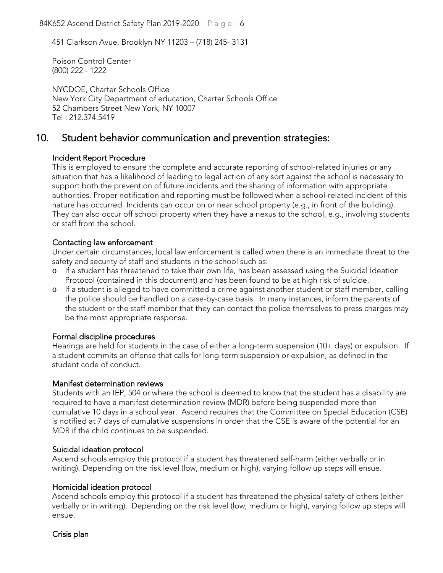84K652 Ascend District Safety Plan 2019-2020: Page | 6

451 Clarkson Avue, Brooklyn NY 11203 – (718) 245- 3131

Poison Control Center (800) 222 - 1222

NYCDOE, Charter Schools Office New York City Department of education, Charter Schools Office 52 Chambers Street New York, NY 10007 Tel : 212.374.5419

#### <span id="page-5-0"></span>10. Student behavior communication and prevention strategies:

#### Incident Report Procedure

This is employed to ensure the complete and accurate reporting of school-related injuries or any situation that has a likelihood of leading to legal action of any sort against the school is necessary to support both the prevention of future incidents and the sharing of information with appropriate authorities. Proper notification and reporting must be followed when a school-related incident of this nature has occurred. Incidents can occur on or near school property (e.g., in front of the building). They can also occur off school property when they have a nexus to the school, e.g., involving students or staff from the school.

#### Contacting law enforcement

Under certain circumstances, local law enforcement is called when there is an immediate threat to the safety and security of staff and students in the school such as:

- o If a student has threatened to take their own life, has been assessed using the Suicidal Ideation Protocol (contained in this document) and has been found to be at high risk of suicide.
- o If a student is alleged to have committed a crime against another student or staff member, calling the police should be handled on a case-by-case basis. In many instances, inform the parents of the student or the staff member that they can contact the police themselves to press charges may be the most appropriate response.

#### Formal discipline procedures

Hearings are held for students in the case of either a long-term suspension (10+ days) or expulsion. If a student commits an offense that calls for long-term suspension or expulsion, as defined in the student code of conduct.

#### Manifest determination reviews

Students with an IEP, 504 or where the school is deemed to know that the student has a disability are required to have a manifest determination review (MDR) before being suspended more than cumulative 10 days in a school year. Ascend requires that the Committee on Special Education (CSE) is notified at 7 days of cumulative suspensions in order that the CSE is aware of the potential for an MDR if the child continues to be suspended.

#### Suicidal ideation protocol

Ascend schools employ this protocol if a student has threatened self-harm (either verbally or in writing). Depending on the risk level (low, medium or high), varying follow up steps will ensue.

#### Homicidal ideation protocol

Ascend schools employ this protocol if a student has threatened the physical safety of others (either verbally or in writing). Depending on the risk level (low, medium or high), varying follow up steps will ensue.

#### Crisis plan